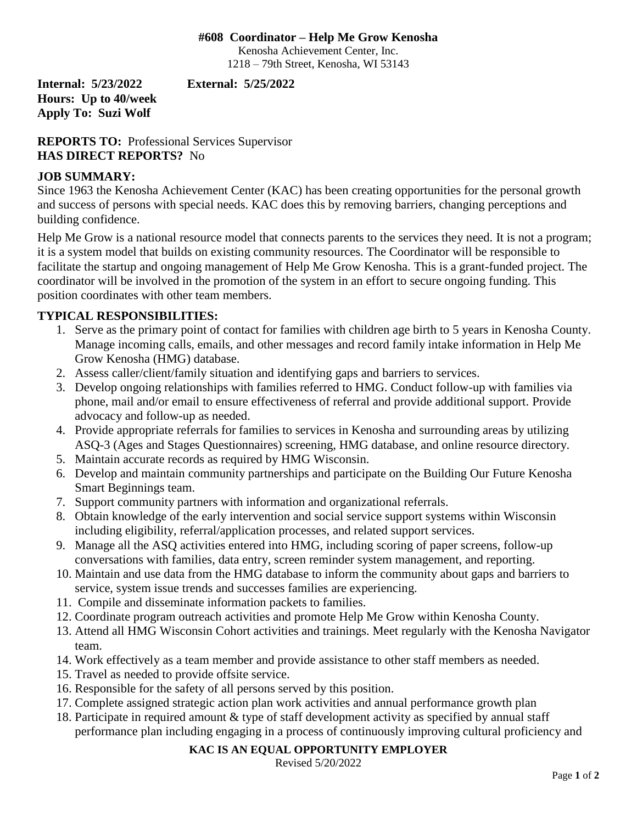### **#608 Coordinator – Help Me Grow Kenosha**

Kenosha Achievement Center, Inc. 1218 – 79th Street, Kenosha, WI 53143

**Internal: 5/23/2022 External: 5/25/2022 Hours: Up to 40/week Apply To: Suzi Wolf**

**REPORTS TO:** Professional Services Supervisor **HAS DIRECT REPORTS?** No

# **JOB SUMMARY:**

Since 1963 the Kenosha Achievement Center (KAC) has been creating opportunities for the personal growth and success of persons with special needs. KAC does this by removing barriers, changing perceptions and building confidence.

Help Me Grow is a national resource model that connects parents to the services they need. It is not a program; it is a system model that builds on existing community resources. The Coordinator will be responsible to facilitate the startup and ongoing management of Help Me Grow Kenosha. This is a grant-funded project. The coordinator will be involved in the promotion of the system in an effort to secure ongoing funding. This position coordinates with other team members.

# **TYPICAL RESPONSIBILITIES:**

- 1. Serve as the primary point of contact for families with children age birth to 5 years in Kenosha County. Manage incoming calls, emails, and other messages and record family intake information in Help Me Grow Kenosha (HMG) database.
- 2. Assess caller/client/family situation and identifying gaps and barriers to services.
- 3. Develop ongoing relationships with families referred to HMG. Conduct follow-up with families via phone, mail and/or email to ensure effectiveness of referral and provide additional support. Provide advocacy and follow-up as needed.
- 4. Provide appropriate referrals for families to services in Kenosha and surrounding areas by utilizing ASQ-3 (Ages and Stages Questionnaires) screening, HMG database, and online resource directory.
- 5. Maintain accurate records as required by HMG Wisconsin.
- 6. Develop and maintain community partnerships and participate on the Building Our Future Kenosha Smart Beginnings team.
- 7. Support community partners with information and organizational referrals.
- 8. Obtain knowledge of the early intervention and social service support systems within Wisconsin including eligibility, referral/application processes, and related support services.
- 9. Manage all the ASQ activities entered into HMG, including scoring of paper screens, follow-up conversations with families, data entry, screen reminder system management, and reporting.
- 10. Maintain and use data from the HMG database to inform the community about gaps and barriers to service, system issue trends and successes families are experiencing.
- 11. Compile and disseminate information packets to families.
- 12. Coordinate program outreach activities and promote Help Me Grow within Kenosha County.
- 13. Attend all HMG Wisconsin Cohort activities and trainings. Meet regularly with the Kenosha Navigator team.
- 14. Work effectively as a team member and provide assistance to other staff members as needed.
- 15. Travel as needed to provide offsite service.
- 16. Responsible for the safety of all persons served by this position.
- 17. Complete assigned strategic action plan work activities and annual performance growth plan
- 18. Participate in required amount & type of staff development activity as specified by annual staff performance plan including engaging in a process of continuously improving cultural proficiency and

#### **KAC IS AN EQUAL OPPORTUNITY EMPLOYER**

Revised 5/20/2022